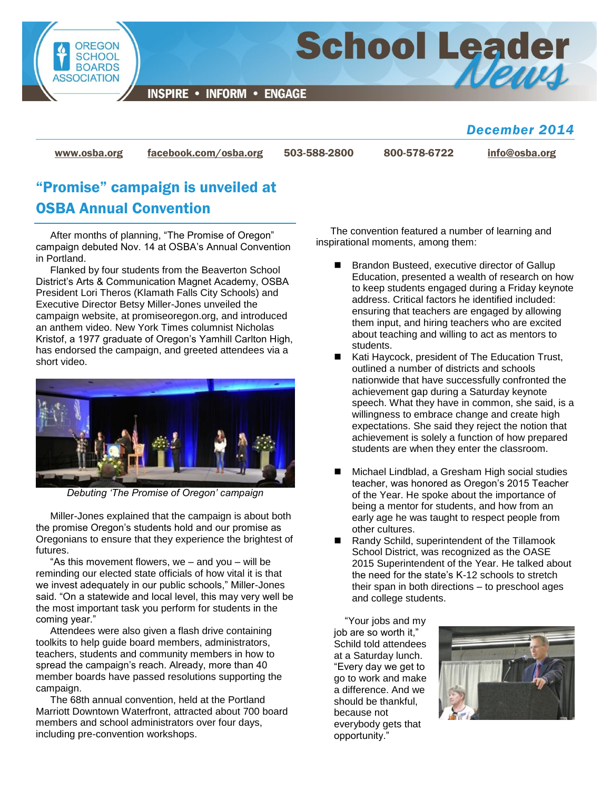

*December 2014*

[www.osba.org](http://www.osba.org/) [facebook.com/osba.org](http://www.facebook.com/osba.org) 503-588-2800 800-578-6722 [info@osba.org](mailto:info@osba.org)

# "Promise" campaign is unveiled at OSBA Annual Convention

After months of planning, "The Promise of Oregon" campaign debuted Nov. 14 at OSBA's Annual Convention in Portland.

Flanked by four students from the Beaverton School District's Arts & Communication Magnet Academy, OSBA President Lori Theros (Klamath Falls City Schools) and Executive Director Betsy Miller-Jones unveiled the campaign website, at promiseoregon.org, and introduced an anthem video. New York Times columnist Nicholas Kristof, a 1977 graduate of Oregon's Yamhill Carlton High, has endorsed the campaign, and greeted attendees via a short video.



*Debuting 'The Promise of Oregon' campaign*

Miller-Jones explained that the campaign is about both the promise Oregon's students hold and our promise as Oregonians to ensure that they experience the brightest of futures.

"As this movement flowers, we – and you – will be reminding our elected state officials of how vital it is that we invest adequately in our public schools," Miller-Jones said. "On a statewide and local level, this may very well be the most important task you perform for students in the coming year."

Attendees were also given a flash drive containing toolkits to help guide board members, administrators, teachers, students and community members in how to spread the campaign's reach. Already, more than 40 member boards have passed resolutions supporting the campaign.

The 68th annual convention, held at the Portland Marriott Downtown Waterfront, attracted about 700 board members and school administrators over four days, including pre-convention workshops.

The convention featured a number of learning and inspirational moments, among them:

- Brandon Busteed, executive director of Gallup Education, presented a wealth of research on how to keep students engaged during a Friday keynote address. Critical factors he identified included: ensuring that teachers are engaged by allowing them input, and hiring teachers who are excited about teaching and willing to act as mentors to students.
- Kati Haycock, president of The Education Trust, outlined a number of districts and schools nationwide that have successfully confronted the achievement gap during a Saturday keynote speech. What they have in common, she said, is a willingness to embrace change and create high expectations. She said they reject the notion that achievement is solely a function of how prepared students are when they enter the classroom.
- Michael Lindblad, a Gresham High social studies teacher, was honored as Oregon's 2015 Teacher of the Year. He spoke about the importance of being a mentor for students, and how from an early age he was taught to respect people from other cultures.
- Randy Schild, superintendent of the Tillamook School District, was recognized as the OASE 2015 Superintendent of the Year. He talked about the need for the state's K-12 schools to stretch their span in both directions – to preschool ages and college students.

"Your jobs and my job are so worth it," Schild told attendees at a Saturday lunch. "Every day we get to go to work and make a difference. And we should be thankful, because not everybody gets that opportunity."

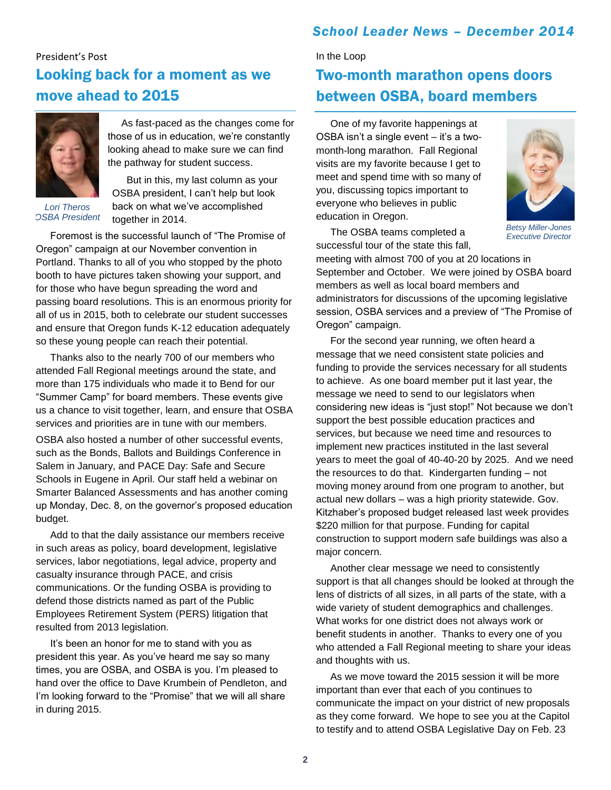## *School Leader News – December 2014*

## President's Post Looking back for a moment as we move ahead to 2015



As fast-paced as the changes come for those of us in education, we're constantly looking ahead to make sure we can find the pathway for student success.

*Lori Theros OSBA President*

But in this, my last column as your OSBA president, I can't help but look back on what we've accomplished together in 2014.

Foremost is the successful launch of "The Promise of Oregon" campaign at our November convention in Portland. Thanks to all of you who stopped by the photo booth to have pictures taken showing your support, and for those who have begun spreading the word and passing board resolutions. This is an enormous priority for all of us in 2015, both to celebrate our student successes and ensure that Oregon funds K-12 education adequately so these young people can reach their potential.

Thanks also to the nearly 700 of our members who attended Fall Regional meetings around the state, and more than 175 individuals who made it to Bend for our "Summer Camp" for board members. These events give us a chance to visit together, learn, and ensure that OSBA services and priorities are in tune with our members.

OSBA also hosted a number of other successful events, such as the Bonds, Ballots and Buildings Conference in Salem in January, and PACE Day: Safe and Secure Schools in Eugene in April. Our staff held a webinar on Smarter Balanced Assessments and has another coming up Monday, Dec. 8, on the governor's proposed education budget.

Add to that the daily assistance our members receive in such areas as policy, board development, legislative services, labor negotiations, legal advice, property and casualty insurance through PACE, and crisis communications. Or the funding OSBA is providing to defend those districts named as part of the Public Employees Retirement System (PERS) litigation that resulted from 2013 legislation.

It's been an honor for me to stand with you as president this year. As you've heard me say so many times, you are OSBA, and OSBA is you. I'm pleased to hand over the office to Dave Krumbein of Pendleton, and I'm looking forward to the "Promise" that we will all share in during 2015.

### In the Loop

# Two-month marathon opens doors between OSBA, board members

One of my favorite happenings at OSBA isn't a single event – it's a twomonth-long marathon. Fall Regional visits are my favorite because I get to meet and spend time with so many of you, discussing topics important to everyone who believes in public education in Oregon.



*Betsy Miller-Jones Executive Director*

The OSBA teams completed a successful tour of the state this fall,

meeting with almost 700 of you at 20 locations in September and October. We were joined by OSBA board members as well as local board members and administrators for discussions of the upcoming legislative session, OSBA services and a preview of "The Promise of Oregon" campaign.

For the second year running, we often heard a message that we need consistent state policies and funding to provide the services necessary for all students to achieve. As one board member put it last year, the message we need to send to our legislators when considering new ideas is "just stop!" Not because we don't support the best possible education practices and services, but because we need time and resources to implement new practices instituted in the last several years to meet the goal of 40-40-20 by 2025. And we need the resources to do that. Kindergarten funding – not moving money around from one program to another, but actual new dollars – was a high priority statewide. Gov. Kitzhaber's proposed budget released last week provides \$220 million for that purpose. Funding for capital construction to support modern safe buildings was also a major concern.

Another clear message we need to consistently support is that all changes should be looked at through the lens of districts of all sizes, in all parts of the state, with a wide variety of student demographics and challenges. What works for one district does not always work or benefit students in another. Thanks to every one of you who attended a Fall Regional meeting to share your ideas and thoughts with us.

As we move toward the 2015 session it will be more important than ever that each of you continues to communicate the impact on your district of new proposals as they come forward. We hope to see you at the Capitol to testify and to attend OSBA Legislative Day on Feb. 23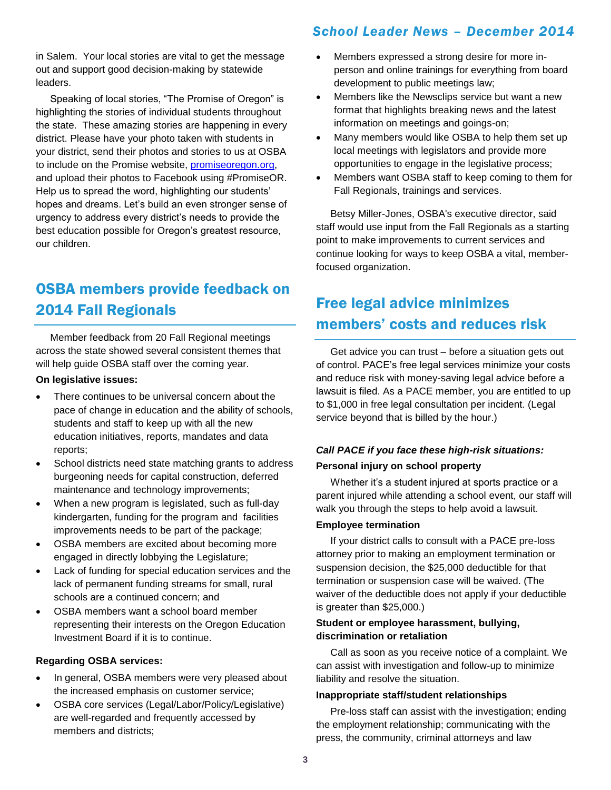in Salem. Your local stories are vital to get the message out and support good decision-making by statewide leaders.

Speaking of local stories, "The Promise of Oregon" is highlighting the stories of individual students throughout the state. These amazing stories are happening in every district. Please have your photo taken with students in your district, send their photos and stories to us at OSBA to include on the Promise website, [promiseoregon.org,](http://promiseoregon.org/) and upload their photos to Facebook using #PromiseOR. Help us to spread the word, highlighting our students' hopes and dreams. Let's build an even stronger sense of urgency to address every district's needs to provide the best education possible for Oregon's greatest resource, our children.

# OSBA members provide feedback on 2014 Fall Regionals

Member feedback from 20 Fall Regional meetings across the state showed several consistent themes that will help guide OSBA staff over the coming year.

#### **On legislative issues:**

- There continues to be universal concern about the pace of change in education and the ability of schools, students and staff to keep up with all the new education initiatives, reports, mandates and data reports;
- School districts need state matching grants to address burgeoning needs for capital construction, deferred maintenance and technology improvements;
- When a new program is legislated, such as full-day kindergarten, funding for the program and facilities improvements needs to be part of the package;
- OSBA members are excited about becoming more engaged in directly lobbying the Legislature;
- Lack of funding for special education services and the lack of permanent funding streams for small, rural schools are a continued concern; and
- OSBA members want a school board member representing their interests on the Oregon Education Investment Board if it is to continue.

### **Regarding OSBA services:**

- In general, OSBA members were very pleased about the increased emphasis on customer service;
- OSBA core services (Legal/Labor/Policy/Legislative) are well-regarded and frequently accessed by members and districts;

## *School Leader News – December 2014*

- Members expressed a strong desire for more inperson and online trainings for everything from board development to public meetings law;
- Members like the Newsclips service but want a new format that highlights breaking news and the latest information on meetings and goings-on;
- Many members would like OSBA to help them set up local meetings with legislators and provide more opportunities to engage in the legislative process;
- Members want OSBA staff to keep coming to them for Fall Regionals, trainings and services.

Betsy Miller-Jones, OSBA's executive director, said staff would use input from the Fall Regionals as a starting point to make improvements to current services and continue looking for ways to keep OSBA a vital, memberfocused organization.

# Free legal advice minimizes members' costs and reduces risk

Get advice you can trust – before a situation gets out of control. PACE's free legal services minimize your costs and reduce risk with money-saving legal advice before a lawsuit is filed. As a PACE member, you are entitled to up to \$1,000 in free legal consultation per incident. (Legal service beyond that is billed by the hour.)

## *Call PACE if you face these high-risk situations:* **Personal injury on school property**

Whether it's a student injured at sports practice or a parent injured while attending a school event, our staff will walk you through the steps to help avoid a lawsuit.

## **Employee termination**

If your district calls to consult with a PACE pre-loss attorney prior to making an employment termination or suspension decision, the \$25,000 deductible for that termination or suspension case will be waived. (The waiver of the deductible does not apply if your deductible is greater than \$25,000.)

### **Student or employee harassment, bullying, discrimination or retaliation**

Call as soon as you receive notice of a complaint. We can assist with investigation and follow-up to minimize liability and resolve the situation.

## **Inappropriate staff/student relationships**

Pre-loss staff can assist with the investigation; ending the employment relationship; communicating with the press, the community, criminal attorneys and law